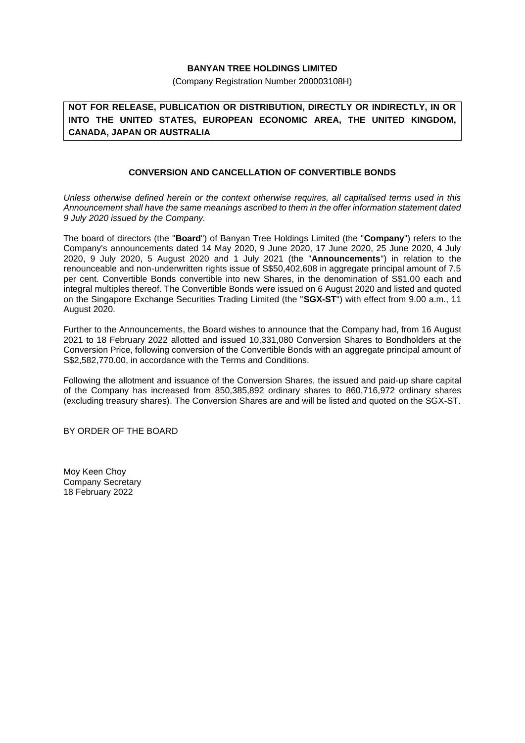## **BANYAN TREE HOLDINGS LIMITED**

(Company Registration Number 200003108H)

**NOT FOR RELEASE, PUBLICATION OR DISTRIBUTION, DIRECTLY OR INDIRECTLY, IN OR INTO THE UNITED STATES, EUROPEAN ECONOMIC AREA, THE UNITED KINGDOM, CANADA, JAPAN OR AUSTRALIA**

## **CONVERSION AND CANCELLATION OF CONVERTIBLE BONDS**

*Unless otherwise defined herein or the context otherwise requires, all capitalised terms used in this Announcement shall have the same meanings ascribed to them in the offer information statement dated 9 July 2020 issued by the Company.*

The board of directors (the "**Board**") of Banyan Tree Holdings Limited (the "**Company**") refers to the Company's announcements dated 14 May 2020, 9 June 2020, 17 June 2020, 25 June 2020, 4 July 2020, 9 July 2020, 5 August 2020 and 1 July 2021 (the "**Announcements**") in relation to the renounceable and non-underwritten rights issue of S\$50,402,608 in aggregate principal amount of 7.5 per cent. Convertible Bonds convertible into new Shares, in the denomination of S\$1.00 each and integral multiples thereof. The Convertible Bonds were issued on 6 August 2020 and listed and quoted on the Singapore Exchange Securities Trading Limited (the "**SGX-ST**") with effect from 9.00 a.m., 11 August 2020.

Further to the Announcements, the Board wishes to announce that the Company had, from 16 August 2021 to 18 February 2022 allotted and issued 10,331,080 Conversion Shares to Bondholders at the Conversion Price, following conversion of the Convertible Bonds with an aggregate principal amount of S\$2,582,770.00, in accordance with the Terms and Conditions.

Following the allotment and issuance of the Conversion Shares, the issued and paid-up share capital of the Company has increased from 850,385,892 ordinary shares to 860,716,972 ordinary shares (excluding treasury shares). The Conversion Shares are and will be listed and quoted on the SGX-ST.

BY ORDER OF THE BOARD

Moy Keen Choy Company Secretary 18 February 2022